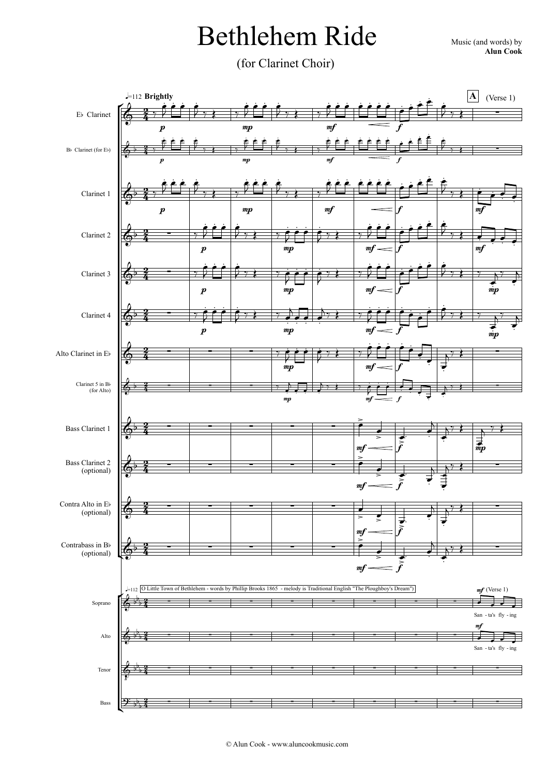## Bethlehem Ride Music (and words) by

**Alun Cook**

(for Clarinet Choir)